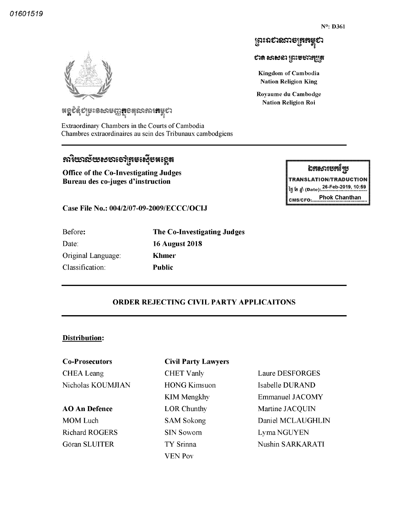ឯកសារបកក្មែប **TRANSLATION/TRADUCTION** 26 Feb 2019 10 59 ï| fl Date

Phok Chanthan

# ព្រះរាសរសាចត្រគម្ពស

ಲಾ ಕಾಳು ನೀವಾಯುತ್ಪಿದ್ದೇ

Kingdom of Cambodia Nation Religion King

Royaume du Cambodge Nation Religion Roi

CMS/CFO:

**។ ប្លូ**ត្តស្ពុះ ខេសចិត្តវិជីទ្រន់ស្រាយ រូបស្រាប់ៗ

Extraordinary Chambers in the Courts of Cambodia Chambres extraordinaires au sein des Tribunaux cambodgiens

# ~~9~5~~~~~8~~~^8~~~5~~~~

Office of the Co-Investigating Judges Bureau des co juges d'instruction

Case File No.: 004/2/07-09-2009/ECCC/OCIJ

| Before:            | The Co-Investigating Judges |
|--------------------|-----------------------------|
| Date:              | <b>16 August 2018</b>       |
| Original Language: | Khmer                       |
| Classification:    | Public                      |
|                    |                             |

# ORDER REJECTING CIVIL PARTY APPLICAITONS

#### Distribution:

CHEA Leang Nicholas KOUMJIAN

AO An Defence

MOM Luch Richard ROGERS Göran SLUITER

#### Co Prosecutors Civil Party Lawyers

CHET Vanly HONG Kimsuon KIM Mengkhy LOR Chunthy SAM Sokong SIN Sowom TY Srinna YEN Pov

Laure DESFORGES Isabelle DURAND Emmanuel JACOMY Martine JACQUIN Daniel MCLAUGHLIN Lyma NGUYEN Nushin SARKARATI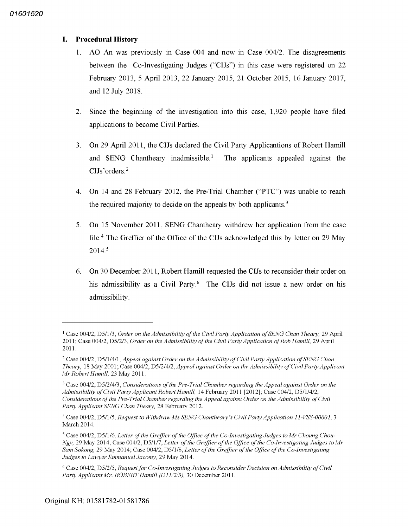#### L. Procedural History

- 1. AO An was previously in Case  $0.04$  and now in Case  $0.04/2$ . The disagreements between the Co-Investigating Judges ("CIJs") in this case were registered on 22 February 2013 April 2013 22 January 2015 21 October 2015 16 January 2017 and 12 July 2018
- Since the beginning of the investigation into this case,  $1,920$  people have filed  $2<sup>1</sup>$ applications to become Civil Parties
- $3<sub>1</sub>$ On 29 April 2011 the CIJs declared the Civil Party Applications of Robert Hamill and SENG Chantheary inadmissible.<sup>1</sup> The applicants appealed against the CIJs'orders.<sup>2</sup>
- On 14 and 28 February 2012, the Pre-Trial Chamber ("PTC") was unable to reach  $4_{\cdot}$ the required majority to decide on the appeals by both applicants.<sup>3</sup>
- On 15 November 2011, SENG Chantheary withdrew her application from the case  $5<sub>1</sub>$ file.<sup>4</sup> The Greffier of the Office of the CIJs acknowledged this by letter on 29 May 2014.5
- On 30 December 2011, Robert Hamill requested the CIJs to reconsider their order on 6. his admissibility as a Civil Party.<sup>6</sup> The CIJs did not issue a new order on his admissibility

<sup>&</sup>lt;sup>1</sup> Case 004/2, D5/1/3, Order on the Admissibility of the Civil Party Application of SENG Chan Theary, 29 April 2011; Case 004/2, D5/2/3, Order on the Admissibility of the Civil Party Application of Rob Hamill, 29 April 2011

<sup>&</sup>lt;sup>2</sup> Case 004/2, D5/1/4/1, Appeal against Order on the Admissibility of Civil Party Application of SENG Chan Theary, 18 May 2001; Case 004/2, D5/2/4/2, Appeal against Order on the Admissibility of Civil Party Applicant Mr Robert Hamill, 23 May 2011.

 $3$  Case 004/2, D5/2/4/3, Considerations of the Pre-Trial Chamber regarding the Appeal against Order on the Admissibility of Civil Party Applicant Robert Hamill, 14 February 2011 [2012]; Case 004/2, D5/1/4/2, Considerations of the Pre-Trial Chamber regarding the Appeal against Order on the Admissibility of Civil Party Applicant SENG Chan Theary, 28 February 2012.

 $4$  Case 004/2, D5/1/5, Request to Withdraw Ms SENG Chantheary's Civil Party Application 11-VSS-00001, 3 March 2014

 $5$  Case 004/2, D5/1/6, Letter of the Greffier of the Office of the Co-Investigating Judges to Mr Choung Chou-Ngy, 29 May 2014; Case 004/2, D5/1/7, Letter of the Greffier of the Office of the Co-Investigating Judges to Mr Sam Sokong, 29 May 2014; Case 004/2, D5/1/8, Letter of the Greffier of the Office of the Co-Investigating Judges to Lawyer Emmanuel Jacomy, 29 May 2014.

Case 004/2, D5/2/5, Request for Co-Investigating Judges to Reconsider Decision on Admissibility of Civil Party Applicant Mr. ROBERT Hamill (D11/2/3), 30 December 2011.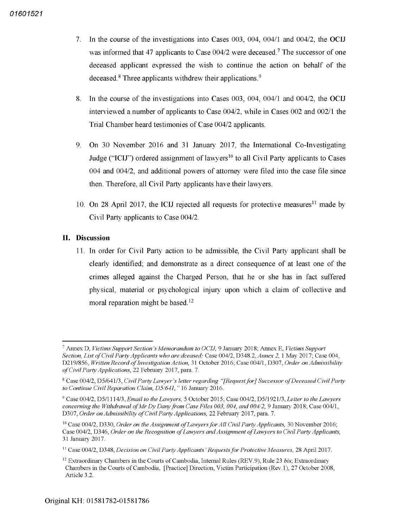- 7. In the course of the investigations into Cases  $0.03$ ,  $0.04$ ,  $0.04$  and  $0.04$  the OCIJ was informed that 47 applicants to Case  $0.04/2$  were deceased.<sup>7</sup> The successor of one deceased applicant expressed the wish to continue the action on behalf of the deceased. $8$  Three applicants withdrew their applications. $9$
- In the course of the investigations into Cases  $0.03$ ,  $0.04$ ,  $0.04$  and  $0.04$  the OCIJ 8. interviewed a number of applicants to Case  $004/2$ , while in Cases  $002$  and  $002/1$  the Trial Chamber heard testimonies of Case 004/2 applicants.
- On 30 November 2016 and 31 January 2017, the International Co-Investigating  $9<sub>1</sub>$ Judge ("ICIJ") ordered assignment of lawyers<sup>10</sup> to all Civil Party applicants to Cases  $004$  and  $004/2$ , and additional powers of attorney were filed into the case file since then. Therefore, all Civil Party applicants have their lawyers.
- 10. On 28 April 2017, the ICIJ rejected all requests for protective measures<sup>11</sup> made by Civil Party applicants to Case 004

## II. Discussion

11 In order for Civil Party action to be admissible the Civil Party applicant shall be clearly identified; and demonstrate as a direct consequence of at least one of the crimes alleged against the Charged Person, that he or she has in fact suffered physical, material or psychological injury upon which a claim of collective and moral reparation might be based.<sup>12</sup>

 $^7$  Annex D, Victims Support Section's Memorandum to OCIJ, 9 January 2018: Annex E, Victims Support Section, List of Civil Party Applicants who are dceased; Case 004/2, D348.2, Annex 2, 1 May 2017; Case 004, D219/856, Written Record of Investigation Action, 31 October 2016; Case 004/1, D307, Order on Admissibility of Civil Party Applications, 22 February 2017, para. 7.

<sup>&</sup>lt;sup>8</sup> Case 004/2, D5/641/3, Civil Party Lawyer's letter regarding "[Request for] Successor of Deceased Civil Party to Continue Civil Reparation Claim, D5/641," 16 January 2016.

 $^9$  Case 004/2, D5/1114/3, Email to the Lawyers, 5 October 2015; Case 004/2, D5/1921/3, Letter to the Lawyers concerning the Withdrawal of Mr Dy Dany from Case Files 003, 004, and  $004/2$ , 9 January 2018, Case 004/1, D307, *Order on Admissibility of Civil Party Applications,* 22 February 2017, para.

<sup>&</sup>lt;sup>10</sup> Case 004/2, D330, *Order on the Assignment of Lawyers for All Civil Party Applicants*, 30 November 2016; Case 004/2, D346, Order on the Recognition of Lawyers and Assignment of Lawyers to Civil Party Applicants, <sup>31</sup> January 2017

 $^{11}$  Case 004/2, D348, Decision on Civil Party Applicants' Requests for Protective Measures, 28 April 2017.

 $^{12}$  Extraordinary Chambers in the Courts of Cambodia, Internal Rules (REV.9), Rule 23 bis, Extraordinary Chambers in the Courts of Cambodia, [Practice] Direction, Victim Participation (Rev.1), 27 October 2008, Article 3.2.